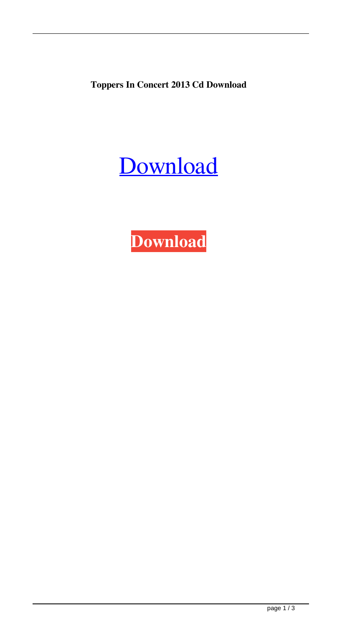**Toppers In Concert 2013 Cd Download**



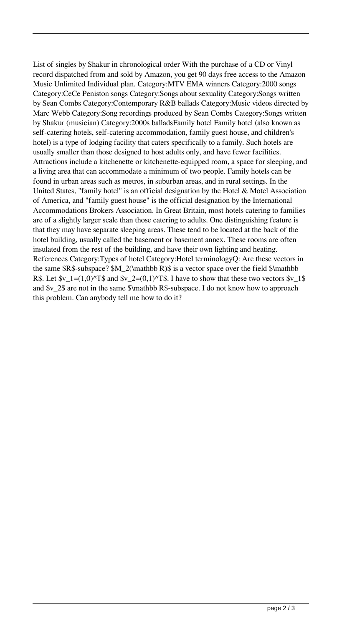List of singles by Shakur in chronological order With the purchase of a CD or Vinyl record dispatched from and sold by Amazon, you get 90 days free access to the Amazon Music Unlimited Individual plan. Category:MTV EMA winners Category:2000 songs Category:CeCe Peniston songs Category:Songs about sexuality Category:Songs written by Sean Combs Category:Contemporary R&B ballads Category:Music videos directed by Marc Webb Category:Song recordings produced by Sean Combs Category:Songs written by Shakur (musician) Category:2000s balladsFamily hotel Family hotel (also known as self-catering hotels, self-catering accommodation, family guest house, and children's hotel) is a type of lodging facility that caters specifically to a family. Such hotels are usually smaller than those designed to host adults only, and have fewer facilities. Attractions include a kitchenette or kitchenette-equipped room, a space for sleeping, and a living area that can accommodate a minimum of two people. Family hotels can be found in urban areas such as metros, in suburban areas, and in rural settings. In the United States, "family hotel" is an official designation by the Hotel & Motel Association of America, and "family guest house" is the official designation by the International Accommodations Brokers Association. In Great Britain, most hotels catering to families are of a slightly larger scale than those catering to adults. One distinguishing feature is that they may have separate sleeping areas. These tend to be located at the back of the hotel building, usually called the basement or basement annex. These rooms are often insulated from the rest of the building, and have their own lighting and heating. References Category:Types of hotel Category:Hotel terminologyQ: Are these vectors in the same \$R\$-subspace? \$M\_2(\mathbb R)\$ is a vector space over the field \$\mathbb R\$. Let  $v_1 = (1,0)^T$  and  $v_2 = (0,1)^T$ . I have to show that these two vectors  $v_1$ \$ and \$v\_2\$ are not in the same \$\mathbb R\$-subspace. I do not know how to approach this problem. Can anybody tell me how to do it?